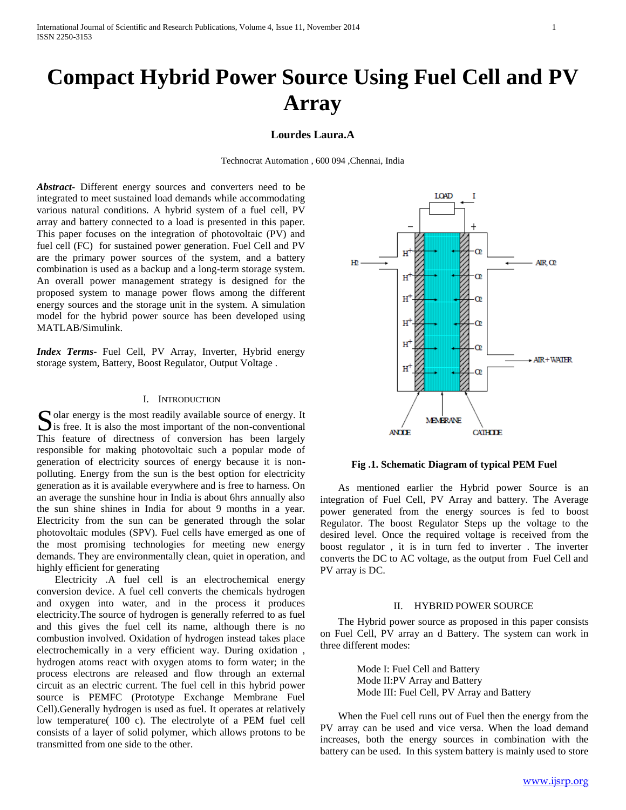# **Compact Hybrid Power Source Using Fuel Cell and PV Array**

# **Lourdes Laura.A**

Technocrat Automation , 600 094 ,Chennai, India

*Abstract***-** Different energy sources and converters need to be integrated to meet sustained load demands while accommodating various natural conditions. A hybrid system of a fuel cell, PV array and battery connected to a load is presented in this paper. This paper focuses on the integration of photovoltaic (PV) and fuel cell (FC) for sustained power generation. Fuel Cell and PV are the primary power sources of the system, and a battery combination is used as a backup and a long-term storage system. An overall power management strategy is designed for the proposed system to manage power flows among the different energy sources and the storage unit in the system. A simulation model for the hybrid power source has been developed using MATLAB/Simulink.

*Index Terms*- Fuel Cell, PV Array, Inverter, Hybrid energy storage system, Battery, Boost Regulator, Output Voltage .

### I. INTRODUCTION

olar energy is the most readily available source of energy. It Solar energy is the most readily available source of energy. It<br>is free. It is also the most important of the non-conventional This feature of directness of conversion has been largely responsible for making photovoltaic such a popular mode of generation of electricity sources of energy because it is nonpolluting. Energy from the sun is the best option for electricity generation as it is available everywhere and is free to harness. On an average the sunshine hour in India is about 6hrs annually also the sun shine shines in India for about 9 months in a year. Electricity from the sun can be generated through the solar photovoltaic modules (SPV). Fuel cells have emerged as one of the most promising technologies for meeting new energy demands. They are environmentally clean, quiet in operation, and highly efficient for generating

 Electricity .A fuel cell is an electrochemical energy conversion device. A fuel cell converts the chemicals hydrogen and oxygen into water, and in the process it produces electricity.The source of hydrogen is generally referred to as fuel and this gives the fuel cell its name, although there is no combustion involved. Oxidation of hydrogen instead takes place electrochemically in a very efficient way. During oxidation , hydrogen atoms react with oxygen atoms to form water; in the process electrons are released and flow through an external circuit as an electric current. The fuel cell in this hybrid power source is PEMFC (Prototype Exchange Membrane Fuel Cell).Generally hydrogen is used as fuel. It operates at relatively low temperature( 100 c). The electrolyte of a PEM fuel cell consists of a layer of solid polymer, which allows protons to be transmitted from one side to the other.



**Fig .1. Schematic Diagram of typical PEM Fuel**

 As mentioned earlier the Hybrid power Source is an integration of Fuel Cell, PV Array and battery. The Average power generated from the energy sources is fed to boost Regulator. The boost Regulator Steps up the voltage to the desired level. Once the required voltage is received from the boost regulator , it is in turn fed to inverter . The inverter converts the DC to AC voltage, as the output from Fuel Cell and PV array is DC.

## II. HYBRID POWER SOURCE

 The Hybrid power source as proposed in this paper consists on Fuel Cell, PV array an d Battery. The system can work in three different modes:

> Mode I: Fuel Cell and Battery Mode II:PV Array and Battery Mode III: Fuel Cell, PV Array and Battery

 When the Fuel cell runs out of Fuel then the energy from the PV array can be used and vice versa. When the load demand increases, both the energy sources in combination with the battery can be used. In this system battery is mainly used to store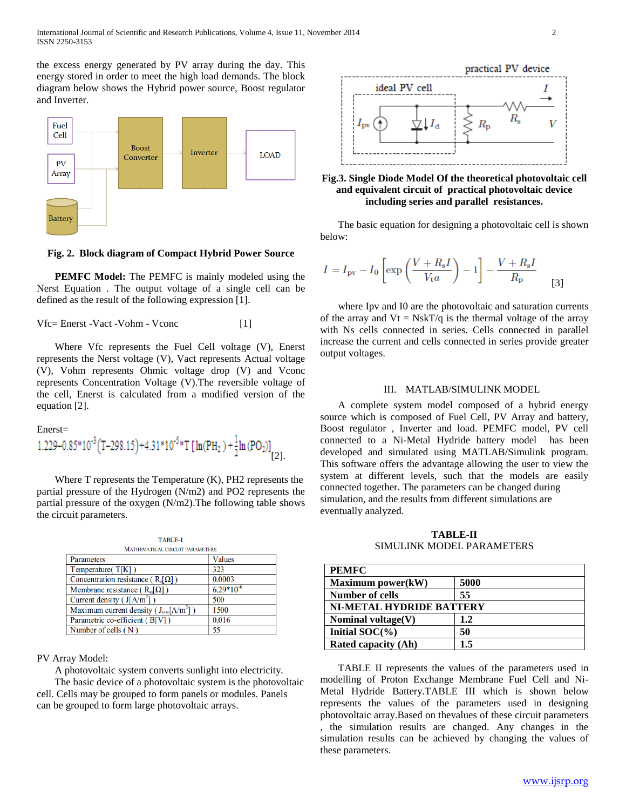the excess energy generated by PV array during the day. This energy stored in order to meet the high load demands. The block diagram below shows the Hybrid power source, Boost regulator and Inverter.



**Fig. 2. Block diagram of Compact Hybrid Power Source**

 **PEMFC Model:** The PEMFC is mainly modeled using the Nerst Equation . The output voltage of a single cell can be defined as the result of the following expression [1].

Vfc= Enerst -Vact -Vohm - Vconc [1]

 Where Vfc represents the Fuel Cell voltage (V), Enerst represents the Nerst voltage (V), Vact represents Actual voltage (V), Vohm represents Ohmic voltage drop (V) and Vconc represents Concentration Voltage (V).The reversible voltage of the cell, Enerst is calculated from a modified version of the equation [2].

#### Enerst=

1.229-0.85\*10<sup>-3</sup> (T-298.15)+4.31\*10<sup>-5</sup>\*T [ln(PH<sub>2</sub>)+
$$
\frac{1}{2}
$$
ln (PO<sub>2</sub>)]<sub>[2]</sub>.

 Where T represents the Temperature (K), PH2 represents the partial pressure of the Hydrogen (N/m2) and PO2 represents the partial pressure of the oxygen (N/m2).The following table shows the circuit parameters.

| <b>TABLE-I</b>                               |                |  |
|----------------------------------------------|----------------|--|
| MATHEMATICAL CIRCUIT PARAMETERS              |                |  |
| Parameters                                   | <b>Values</b>  |  |
| Temperature( $T[K]$ )                        | 323            |  |
| Concentration resistance ( $R_c[\Omega]$ )   | 0.0003         |  |
| Membrane resistance ( $R_m[\Omega]$ )        | $6.29*10^{-6}$ |  |
| Current density ( $J[A/m^2]$ )               | 500            |  |
| Maximum current density ( $J_{max}[A/m^2]$ ) | 1500           |  |
| Parametric co-efficient (B[V])               | 0.016          |  |
| Number of cells $(N)$                        | 55             |  |

## PV Array Model:

A photovoltaic system converts sunlight into electricity.

 The basic device of a photovoltaic system is the photovoltaic cell. Cells may be grouped to form panels or modules. Panels can be grouped to form large photovoltaic arrays.



## **Fig.3. Single Diode Model Of the theoretical photovoltaic cell and equivalent circuit of practical photovoltaic device including series and parallel resistances.**

 The basic equation for designing a photovoltaic cell is shown below:

$$
I = I_{\text{pv}} - I_0 \left[ \exp\left(\frac{V + R_s I}{V_{\text{t}} a}\right) - 1 \right] - \frac{V + R_s I}{R_{\text{p}}}
$$
 [3]

 where Ipv and I0 are the photovoltaic and saturation currents of the array and  $Vt = Ns kT/q$  is the thermal voltage of the array with Ns cells connected in series. Cells connected in parallel increase the current and cells connected in series provide greater output voltages.

## III. MATLAB/SIMULINK MODEL

 A complete system model composed of a hybrid energy source which is composed of Fuel Cell, PV Array and battery, Boost regulator , Inverter and load. PEMFC model, PV cell connected to a Ni-Metal Hydride battery model has been developed and simulated using MATLAB/Simulink program. This software offers the advantage allowing the user to view the system at different levels, such that the models are easily connected together. The parameters can be changed during simulation, and the results from different simulations are eventually analyzed.

**TABLE-II** SIMULINK MODEL PARAMETERS

| <b>PEMFC</b>               |      |  |
|----------------------------|------|--|
| Maximum power(kW)          | 5000 |  |
| <b>Number of cells</b>     | 55   |  |
| NI-METAL HYDRIDE BATTERY   |      |  |
| Nominal voltage $(V)$      | 1.2  |  |
| Initial $SOC(\%)$          | 50   |  |
| <b>Rated capacity (Ah)</b> | 1.5  |  |

 TABLE II represents the values of the parameters used in modelling of Proton Exchange Membrane Fuel Cell and Ni-Metal Hydride Battery.TABLE III which is shown below represents the values of the parameters used in designing photovoltaic array.Based on thevalues of these circuit parameters , the simulation results are changed. Any changes in the simulation results can be achieved by changing the values of these parameters.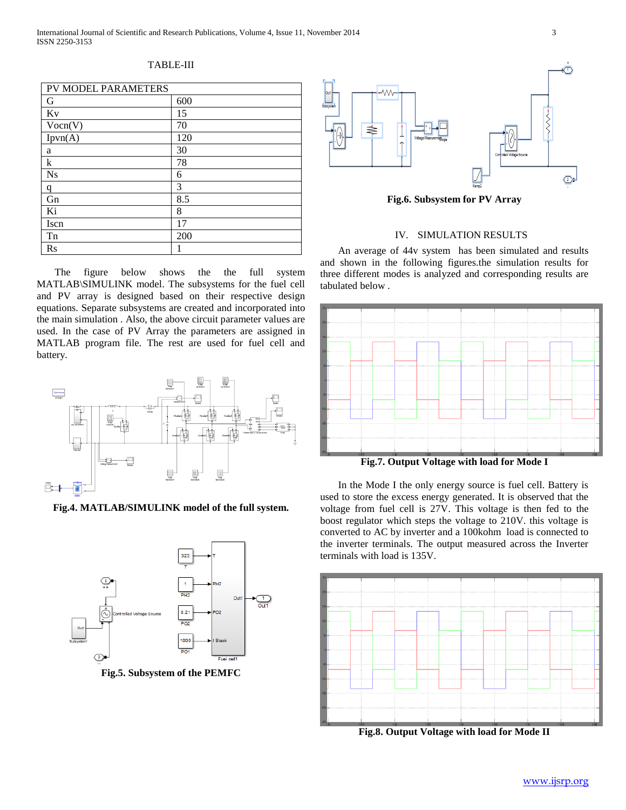## TABLE-III

| PV MODEL PARAMETERS |     |  |
|---------------------|-----|--|
| G                   | 600 |  |
| Kv                  | 15  |  |
| Vocn(V)             | 70  |  |
| $I$ pvn $(A)$       | 120 |  |
| a                   | 30  |  |
| k                   | 78  |  |
| <b>Ns</b>           | 6   |  |
| q                   | 3   |  |
| Gn                  | 8.5 |  |
| Ki                  | 8   |  |
| Iscn                | 17  |  |
| Tn                  | 200 |  |
| $\operatorname{Rs}$ |     |  |

 The figure below shows the the full system MATLAB\SIMULINK model. The subsystems for the fuel cell and PV array is designed based on their respective design equations. Separate subsystems are created and incorporated into the main simulation . Also, the above circuit parameter values are used. In the case of PV Array the parameters are assigned in MATLAB program file. The rest are used for fuel cell and battery.



**Fig.4. MATLAB/SIMULINK model of the full system.**



**Fig.5. Subsystem of the PEMFC**



**Fig.6. Subsystem for PV Array**

# IV. SIMULATION RESULTS

 An average of 44v system has been simulated and results and shown in the following figures.the simulation results for three different modes is analyzed and corresponding results are tabulated below .



**Fig.7. Output Voltage with load for Mode I**

 In the Mode I the only energy source is fuel cell. Battery is used to store the excess energy generated. It is observed that the voltage from fuel cell is 27V. This voltage is then fed to the boost regulator which steps the voltage to 210V. this voltage is converted to AC by inverter and a 100kohm load is connected to the inverter terminals. The output measured across the Inverter terminals with load is 135V.



**Fig.8. Output Voltage with load for Mode II**